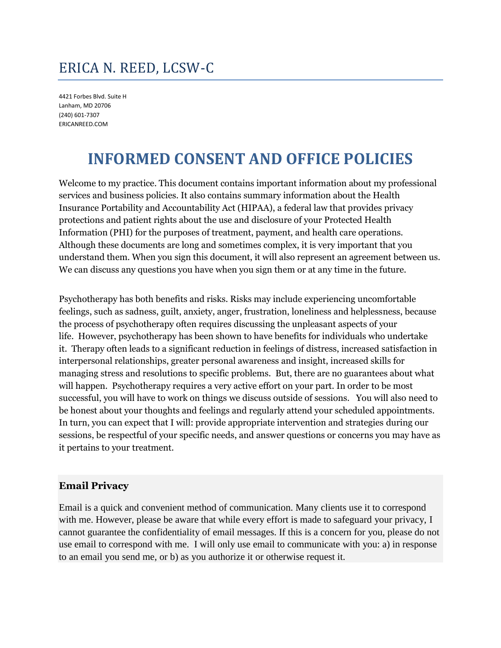# ERICA N. REED, LCSW-C

4421 Forbes Blvd. Suite H Lanham, MD 20706 (240) 601-7307 ERICANREED.COM

# **INFORMED CONSENT AND OFFICE POLICIES**

Welcome to my practice. This document contains important information about my professional services and business policies. It also contains summary information about the Health Insurance Portability and Accountability Act (HIPAA), a federal law that provides privacy protections and patient rights about the use and disclosure of your Protected Health Information (PHI) for the purposes of treatment, payment, and health care operations. Although these documents are long and sometimes complex, it is very important that you understand them. When you sign this document, it will also represent an agreement between us. We can discuss any questions you have when you sign them or at any time in the future.

Psychotherapy has both benefits and risks. Risks may include experiencing uncomfortable feelings, such as sadness, guilt, anxiety, anger, frustration, loneliness and helplessness, because the process of psychotherapy often requires discussing the unpleasant aspects of your life. However, psychotherapy has been shown to have benefits for individuals who undertake it. Therapy often leads to a significant reduction in feelings of distress, increased satisfaction in interpersonal relationships, greater personal awareness and insight, increased skills for managing stress and resolutions to specific problems. But, there are no guarantees about what will happen. Psychotherapy requires a very active effort on your part. In order to be most successful, you will have to work on things we discuss outside of sessions. You will also need to be honest about your thoughts and feelings and regularly attend your scheduled appointments. In turn, you can expect that I will: provide appropriate intervention and strategies during our sessions, be respectful of your specific needs, and answer questions or concerns you may have as it pertains to your treatment.

### **Email Privacy**

Email is a quick and convenient method of communication. Many clients use it to correspond with me. However, please be aware that while every effort is made to safeguard your privacy, I cannot guarantee the confidentiality of email messages. If this is a concern for you, please do not use email to correspond with me. I will only use email to communicate with you: a) in response to an email you send me, or b) as you authorize it or otherwise request it.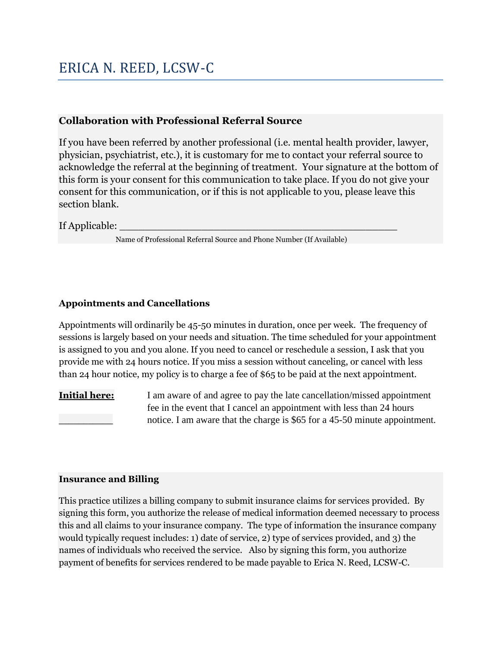## ERICA N. REED, LCSW-C

### **Collaboration with Professional Referral Source**

If you have been referred by another professional (i.e. mental health provider, lawyer, physician, psychiatrist, etc.), it is customary for me to contact your referral source to acknowledge the referral at the beginning of treatment. Your signature at the bottom of this form is your consent for this communication to take place. If you do not give your consent for this communication, or if this is not applicable to you, please leave this section blank.

### If Applicable:

Name of Professional Referral Source and Phone Number (If Available)

### **Appointments and Cancellations**

Appointments will ordinarily be 45-50 minutes in duration, once per week. The frequency of sessions is largely based on your needs and situation. The time scheduled for your appointment is assigned to you and you alone. If you need to cancel or reschedule a session, I ask that you provide me with 24 hours notice. If you miss a session without canceling, or cancel with less than 24 hour notice, my policy is to charge a fee of \$65 to be paid at the next appointment.

**Initial here:** I am aware of and agree to pay the late cancellation/missed appointment fee in the event that I cancel an appointment with less than 24 hours notice. I am aware that the charge is \$65 for a 45-50 minute appointment.

### **Insurance and Billing**

This practice utilizes a billing company to submit insurance claims for services provided. By signing this form, you authorize the release of medical information deemed necessary to process this and all claims to your insurance company. The type of information the insurance company would typically request includes: 1) date of service, 2) type of services provided, and 3) the names of individuals who received the service. Also by signing this form, you authorize payment of benefits for services rendered to be made payable to Erica N. Reed, LCSW-C.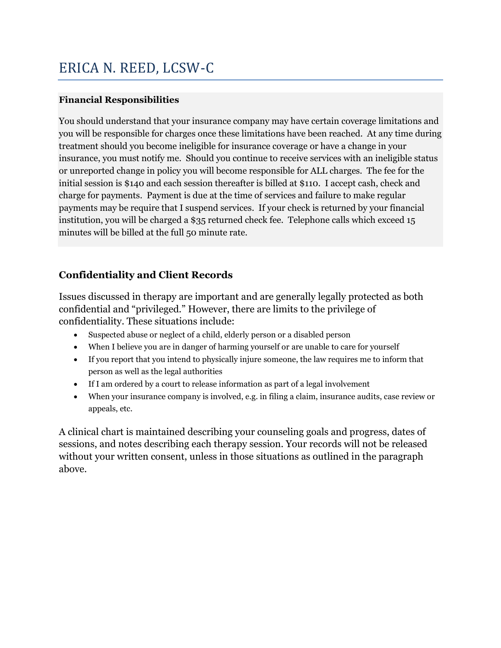## ERICA N. REED, LCSW-C

### **Financial Responsibilities**

You should understand that your insurance company may have certain coverage limitations and you will be responsible for charges once these limitations have been reached. At any time during treatment should you become ineligible for insurance coverage or have a change in your insurance, you must notify me. Should you continue to receive services with an ineligible status or unreported change in policy you will become responsible for ALL charges. The fee for the initial session is \$140 and each session thereafter is billed at \$110. I accept cash, check and charge for payments. Payment is due at the time of services and failure to make regular payments may be require that I suspend services. If your check is returned by your financial institution, you will be charged a \$35 returned check fee. Telephone calls which exceed 15 minutes will be billed at the full 50 minute rate.

### **Confidentiality and Client Records**

Issues discussed in therapy are important and are generally legally protected as both confidential and "privileged." However, there are limits to the privilege of confidentiality. These situations include:

- Suspected abuse or neglect of a child, elderly person or a disabled person
- When I believe you are in danger of harming yourself or are unable to care for yourself
- If you report that you intend to physically injure someone, the law requires me to inform that person as well as the legal authorities
- If I am ordered by a court to release information as part of a legal involvement
- When your insurance company is involved, e.g. in filing a claim, insurance audits, case review or appeals, etc.

A clinical chart is maintained describing your counseling goals and progress, dates of sessions, and notes describing each therapy session. Your records will not be released without your written consent, unless in those situations as outlined in the paragraph above.